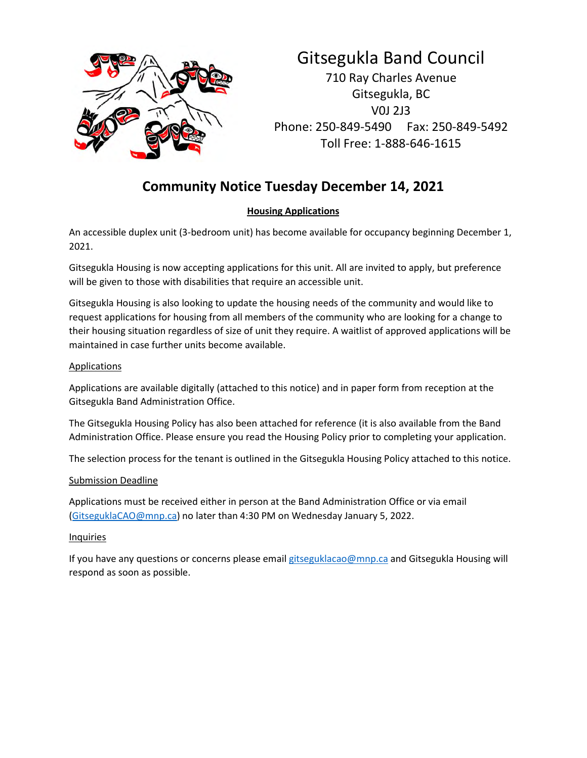

# Gitsegukla Band Council

710 Ray Charles Avenue Gitsegukla, BC V0J 2J3 Phone: 250-849-5490 Fax: 250-849-5492 Toll Free: 1-888-646-1615

# **Community Notice Tuesday December 14, 2021**

# **Housing Applications**

An accessible duplex unit (3-bedroom unit) has become available for occupancy beginning December 1, 2021.

Gitsegukla Housing is now accepting applications for this unit. All are invited to apply, but preference will be given to those with disabilities that require an accessible unit.

Gitsegukla Housing is also looking to update the housing needs of the community and would like to request applications for housing from all members of the community who are looking for a change to their housing situation regardless of size of unit they require. A waitlist of approved applications will be maintained in case further units become available.

# **Applications**

Applications are available digitally (attached to this notice) and in paper form from reception at the Gitsegukla Band Administration Office.

The Gitsegukla Housing Policy has also been attached for reference (it is also available from the Band Administration Office. Please ensure you read the Housing Policy prior to completing your application.

The selection process for the tenant is outlined in the Gitsegukla Housing Policy attached to this notice.

## Submission Deadline

Applications must be received either in person at the Band Administration Office or via email (GitseguklaCAO@mnp.ca) no later than 4:30 PM on Wednesday January 5, 2022.

## **Inquiries**

If you have any questions or concerns please email gitseguklacao@mnp.ca and Gitsegukla Housing will respond as soon as possible.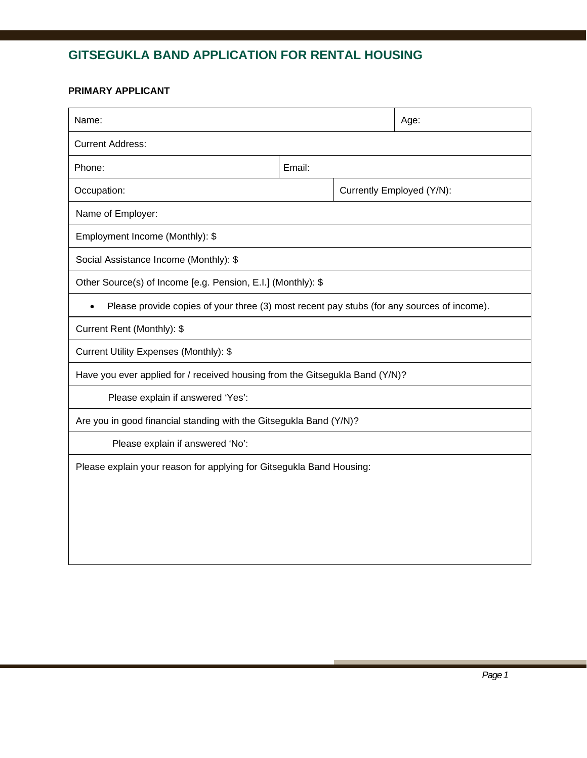# **GITSEGUKLA BAND APPLICATION FOR RENTAL HOUSING**

## **PRIMARY APPLICANT**

| Name:                                                                                      |        |  | Age:                      |  |  |
|--------------------------------------------------------------------------------------------|--------|--|---------------------------|--|--|
| <b>Current Address:</b>                                                                    |        |  |                           |  |  |
| Phone:                                                                                     | Email: |  |                           |  |  |
| Occupation:                                                                                |        |  | Currently Employed (Y/N): |  |  |
| Name of Employer:                                                                          |        |  |                           |  |  |
| Employment Income (Monthly): \$                                                            |        |  |                           |  |  |
| Social Assistance Income (Monthly): \$                                                     |        |  |                           |  |  |
| Other Source(s) of Income [e.g. Pension, E.I.] (Monthly): \$                               |        |  |                           |  |  |
| Please provide copies of your three (3) most recent pay stubs (for any sources of income). |        |  |                           |  |  |
| Current Rent (Monthly): \$                                                                 |        |  |                           |  |  |
| Current Utility Expenses (Monthly): \$                                                     |        |  |                           |  |  |
| Have you ever applied for / received housing from the Gitsegukla Band (Y/N)?               |        |  |                           |  |  |
| Please explain if answered 'Yes':                                                          |        |  |                           |  |  |
| Are you in good financial standing with the Gitsegukla Band (Y/N)?                         |        |  |                           |  |  |
| Please explain if answered 'No':                                                           |        |  |                           |  |  |
| Please explain your reason for applying for Gitsegukla Band Housing:                       |        |  |                           |  |  |
|                                                                                            |        |  |                           |  |  |
|                                                                                            |        |  |                           |  |  |
|                                                                                            |        |  |                           |  |  |
|                                                                                            |        |  |                           |  |  |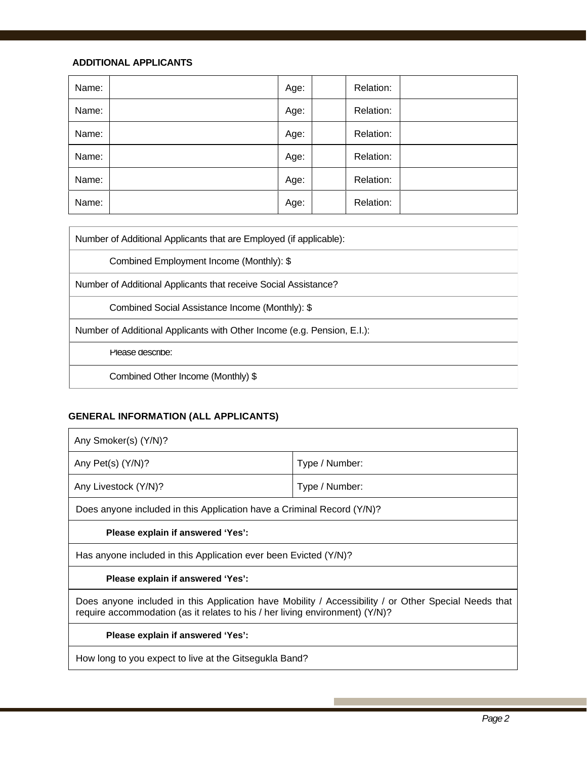### **ADDITIONAL APPLICANTS**

| Name: | Age: | Relation: |  |
|-------|------|-----------|--|
| Name: | Age: | Relation: |  |
| Name: | Age: | Relation: |  |
| Name: | Age: | Relation: |  |
| Name: | Age: | Relation: |  |
| Name: | Age: | Relation: |  |

Number of Additional Applicants that are Employed (if applicable):

Combined Employment Income (Monthly): \$

Number of Additional Applicants that receive Social Assistance?

Combined Social Assistance Income (Monthly): \$

Number of Additional Applicants with Other Income (e.g. Pension, E.I.):

Please describe:

Combined Other Income (Monthly) \$

### **GENERAL INFORMATION (ALL APPLICANTS)**

| Any Smoker(s) (Y/N)?                                                                                                                                                                 |                |  |  |  |
|--------------------------------------------------------------------------------------------------------------------------------------------------------------------------------------|----------------|--|--|--|
| Any Pet(s) (Y/N)?                                                                                                                                                                    | Type / Number: |  |  |  |
| Any Livestock (Y/N)?                                                                                                                                                                 | Type / Number: |  |  |  |
| Does anyone included in this Application have a Criminal Record (Y/N)?                                                                                                               |                |  |  |  |
| Please explain if answered 'Yes':                                                                                                                                                    |                |  |  |  |
| Has anyone included in this Application ever been Evicted (Y/N)?                                                                                                                     |                |  |  |  |
| Please explain if answered 'Yes':                                                                                                                                                    |                |  |  |  |
| Does anyone included in this Application have Mobility / Accessibility / or Other Special Needs that<br>require accommodation (as it relates to his / her living environment) (Y/N)? |                |  |  |  |
| Please explain if answered 'Yes':                                                                                                                                                    |                |  |  |  |
| How long to you expect to live at the Gitsegukla Band?                                                                                                                               |                |  |  |  |